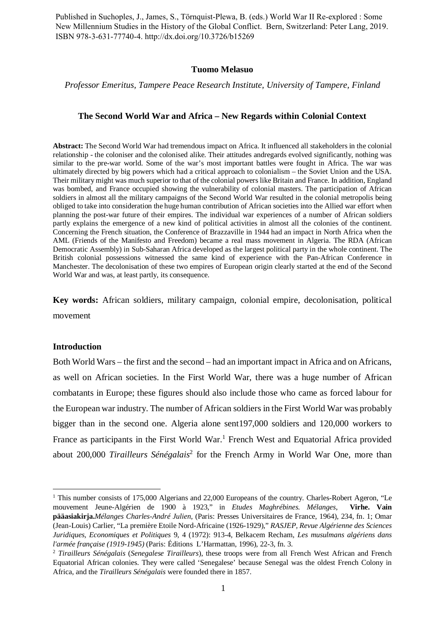Published in Suchoples, J., James, S., Törnquist-Plewa, B. (eds.) World War II Re-explored : Some New Millennium Studies in the History of the Global Conflict. Bern, Switzerland: Peter Lang, 2019. ISBN 978-3-631-77740-4. http://dx.doi.org/10.3726/b15269

#### **Tuomo Melasuo**

#### *Professor Emeritus, Tampere Peace Research Institute, University of Tampere, Finland*

### **The Second World War and Africa – New Regards within Colonial Context**

**Abstract:** The Second World War had tremendous impact on Africa. It influenced all stakeholders in the colonial relationship - the coloniser and the colonised alike. Their attitudes andregards evolved significantly, nothing was similar to the pre-war world. Some of the war's most important battles were fought in Africa. The war was ultimately directed by big powers which had a critical approach to colonialism – the Soviet Union and the USA. Their military might was much superior to that of the colonial powers like Britain and France. In addition, England was bombed, and France occupied showing the vulnerability of colonial masters. The participation of African soldiers in almost all the military campaigns of the Second World War resulted in the colonial metropolis being obliged to take into consideration the huge human contribution of African societies into the Allied war effort when planning the post-war future of their empires. The individual war experiences of a number of African soldiers partly explains the emergence of a new kind of political activities in almost all the colonies of the continent. Concerning the French situation, the Conference of Brazzaville in 1944 had an impact in North Africa when the AML (Friends of the Manifesto and Freedom) became a real mass movement in Algeria. The RDA (African Democratic Assembly) in Sub-Saharan Africa developed as the largest political party in the whole continent. The British colonial possessions witnessed the same kind of experience with the Pan-African Conference in Manchester. The decolonisation of these two empires of European origin clearly started at the end of the Second World War and was, at least partly, its consequence.

**Key words:** African soldiers, military campaign, colonial empire, decolonisation, political movement

#### **Introduction**

Both World Wars – the first and the second – had an important impact in Africa and on Africans, as well on African societies. In the First World War, there was a huge number of African combatants in Europe; these figures should also include those who came as forced labour for the European war industry. The number of African soldiers in the First World War was probably bigger than in the second one. Algeria alone sent197,000 soldiers and 120,000 workers to France as participants in the First World War.<sup>1</sup> French West and Equatorial Africa provided about 200,000 *Tirailleurs Sénégalais*<sup>2</sup> for the French Army in World War One, more than

<sup>&</sup>lt;sup>1</sup> This number consists of 175,000 Algerians and 22,000 Europeans of the country. Charles-Robert Ageron, "Le mouvement Jeune-Algérien de 1900 à 1923," in *Etudes Maghrébines. Mélanges*, **Virhe. Vain pääasiakirja.***Mélanges Charles-André Julien*, (Paris: Presses Universitaires de France, 1964), 234, fn. 1; Omar (Jean-Louis) Carlier, "La première Etoile Nord-Africaine (1926-1929)," *RASJEP, Revue Algérienne des Sciences Juridiques, Economiques et Politiques* 9, 4 (1972): 913-4, Belkacem Recham, *Les musulmans algériens dans l'armée française (1919-1945)* (Paris: Éditions L'Harmattan, 1996), 22-3, fn. 3.

<sup>2</sup> *Tirailleurs Sénégalais* (*Senegalese Tirailleurs*), these troops were from all French West African and French Equatorial African colonies. They were called 'Senegalese' because Senegal was the oldest French Colony in Africa, and the *Tirailleurs Sénégalais* were founded there in 1857.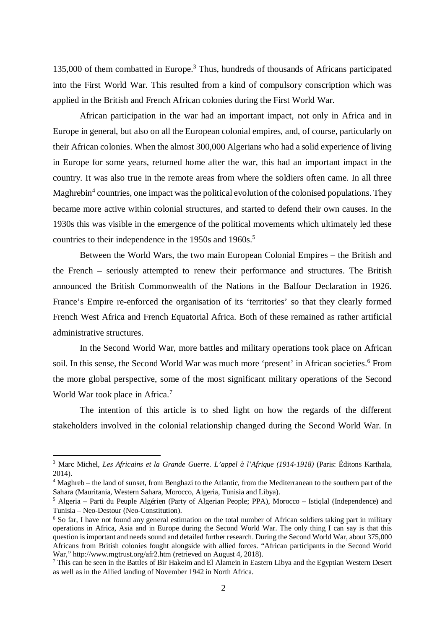135,000 of them combatted in Europe.<sup>3</sup> Thus, hundreds of thousands of Africans participated into the First World War. This resulted from a kind of compulsory conscription which was applied in the British and French African colonies during the First World War.

African participation in the war had an important impact, not only in Africa and in Europe in general, but also on all the European colonial empires, and, of course, particularly on their African colonies. When the almost 300,000 Algerians who had a solid experience of living in Europe for some years, returned home after the war, this had an important impact in the country. It was also true in the remote areas from where the soldiers often came. In all three Maghrebin<sup>4</sup> countries, one impact was the political evolution of the colonised populations. They became more active within colonial structures, and started to defend their own causes. In the 1930s this was visible in the emergence of the political movements which ultimately led these countries to their independence in the 1950s and 1960s.<sup>5</sup>

Between the World Wars, the two main European Colonial Empires – the British and the French – seriously attempted to renew their performance and structures. The British announced the British Commonwealth of the Nations in the Balfour Declaration in 1926. France's Empire re-enforced the organisation of its 'territories' so that they clearly formed French West Africa and French Equatorial Africa. Both of these remained as rather artificial administrative structures.

In the Second World War, more battles and military operations took place on African soil. In this sense, the Second World War was much more 'present' in African societies.<sup>6</sup> From the more global perspective, some of the most significant military operations of the Second World War took place in Africa.<sup>7</sup>

The intention of this article is to shed light on how the regards of the different stakeholders involved in the colonial relationship changed during the Second World War. In

<sup>3</sup> Marc Michel, *Les Africains et la Grande Guerre. L'appel à l'Afrique (1914-1918)* (Paris: Éditons Karthala, 2014).

<sup>&</sup>lt;sup>4</sup> Maghreb – the land of sunset, from Benghazi to the Atlantic, from the Mediterranean to the southern part of the Sahara (Mauritania, Western Sahara, Morocco, Algeria, Tunisia and Libya).

<sup>&</sup>lt;sup>5</sup> Algeria – Parti du Peuple Algérien (Party of Algerian People; PPA), Morocco – Istiqlal (Independence) and Tunisia – Neo-Destour (Neo-Constitution).

<sup>&</sup>lt;sup>6</sup> So far, I have not found any general estimation on the total number of African soldiers taking part in military operations in Africa, Asia and in Europe during the Second World War. The only thing I can say is that this question is important and needs sound and detailed further research. During the Second World War, about 375,000 Africans from British colonies fought alongside with allied forces. "African participants in the Second World War," http://www.mgtrust.org/afr2.htm (retrieved on August 4, 2018).

<sup>&</sup>lt;sup>7</sup> This can be seen in the Battles of Bir Hakeim and El Alamein in Eastern Libya and the Egyptian Western Desert as well as in the Allied landing of November 1942 in North Africa.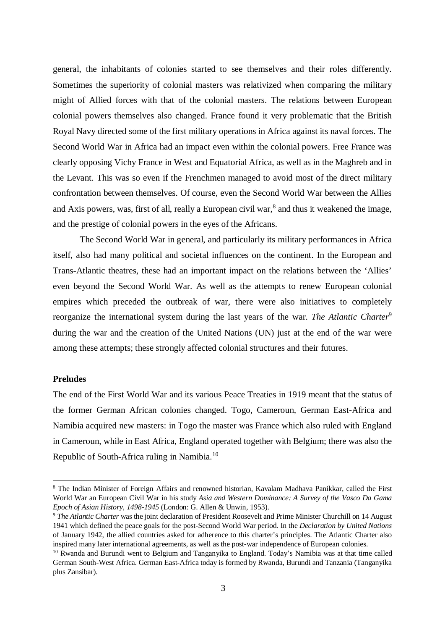general, the inhabitants of colonies started to see themselves and their roles differently. Sometimes the superiority of colonial masters was relativized when comparing the military might of Allied forces with that of the colonial masters. The relations between European colonial powers themselves also changed. France found it very problematic that the British Royal Navy directed some of the first military operations in Africa against its naval forces. The Second World War in Africa had an impact even within the colonial powers. Free France was clearly opposing Vichy France in West and Equatorial Africa, as well as in the Maghreb and in the Levant. This was so even if the Frenchmen managed to avoid most of the direct military confrontation between themselves. Of course, even the Second World War between the Allies and Axis powers, was, first of all, really a European civil war, $^8$  and thus it weakened the image, and the prestige of colonial powers in the eyes of the Africans.

The Second World War in general, and particularly its military performances in Africa itself, also had many political and societal influences on the continent. In the European and Trans-Atlantic theatres, these had an important impact on the relations between the 'Allies' even beyond the Second World War. As well as the attempts to renew European colonial empires which preceded the outbreak of war, there were also initiatives to completely reorganize the international system during the last years of the war. *The Atlantic Charter*<sup>9</sup> during the war and the creation of the United Nations (UN) just at the end of the war were among these attempts; these strongly affected colonial structures and their futures.

### **Preludes**

The end of the First World War and its various Peace Treaties in 1919 meant that the status of the former German African colonies changed. Togo, Cameroun, German East-Africa and Namibia acquired new masters: in Togo the master was France which also ruled with England in Cameroun, while in East Africa, England operated together with Belgium; there was also the Republic of South-Africa ruling in Namibia.<sup>10</sup>

<sup>&</sup>lt;sup>8</sup> The Indian Minister of Foreign Affairs and renowned historian, Kavalam Madhava Panikkar, called the First World War an European Civil War in his study *Asia and Western Dominance: A Survey of the Vasco Da Gama Epoch of Asian History, 1498-1945* (London: G. Allen & Unwin, 1953).

<sup>&</sup>lt;sup>9</sup> The Atlantic Charter was the joint declaration of President Roosevelt and Prime Minister Churchill on 14 August 1941 which defined the peace goals for the post-Second World War period. In the *Declaration by United Nations* of January 1942, the allied countries asked for adherence to this charter's principles. The Atlantic Charter also inspired many later international agreements, as well as the post-war independence of European colonies.

<sup>&</sup>lt;sup>10</sup> Rwanda and Burundi went to Belgium and Tanganyika to England. Today's Namibia was at that time called German South-West Africa. German East-Africa today is formed by Rwanda, Burundi and Tanzania (Tanganyika plus Zansibar).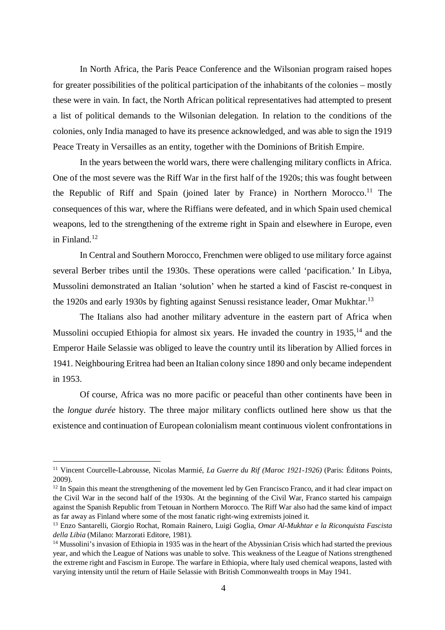In North Africa, the Paris Peace Conference and the Wilsonian program raised hopes for greater possibilities of the political participation of the inhabitants of the colonies – mostly these were in vain. In fact, the North African political representatives had attempted to present a list of political demands to the Wilsonian delegation. In relation to the conditions of the colonies, only India managed to have its presence acknowledged, and was able to sign the 1919 Peace Treaty in Versailles as an entity, together with the Dominions of British Empire.

In the years between the world wars, there were challenging military conflicts in Africa. One of the most severe was the Riff War in the first half of the 1920s; this was fought between the Republic of Riff and Spain (joined later by France) in Northern Morocco.<sup>11</sup> The consequences of this war, where the Riffians were defeated, and in which Spain used chemical weapons, led to the strengthening of the extreme right in Spain and elsewhere in Europe, even in Finland.<sup>12</sup>

In Central and Southern Morocco, Frenchmen were obliged to use military force against several Berber tribes until the 1930s. These operations were called 'pacification.' In Libya, Mussolini demonstrated an Italian 'solution' when he started a kind of Fascist re-conquest in the 1920s and early 1930s by fighting against Senussi resistance leader, Omar Mukhtar.<sup>13</sup>

The Italians also had another military adventure in the eastern part of Africa when Mussolini occupied Ethiopia for almost six years. He invaded the country in  $1935$ ,  $^{14}$  and the Emperor Haile Selassie was obliged to leave the country until its liberation by Allied forces in 1941. Neighbouring Eritrea had been an Italian colony since 1890 and only became independent in 1953.

Of course, Africa was no more pacific or peaceful than other continents have been in the *longue durée* history. The three major military conflicts outlined here show us that the existence and continuation of European colonialism meant continuous violent confrontations in

<sup>11</sup> Vincent Courcelle-Labrousse, Nicolas Marmié, *La Guerre du Rif (Maroc 1921-1926)* (Paris: Éditons Points, 2009).

 $12$  In Spain this meant the strengthening of the movement led by Gen Francisco Franco, and it had clear impact on the Civil War in the second half of the 1930s. At the beginning of the Civil War, Franco started his campaign against the Spanish Republic from Tetouan in Northern Morocco. The Riff War also had the same kind of impact as far away as Finland where some of the most fanatic right-wing extremists joined it.

<sup>13</sup> Enzo Santarelli, Giorgio Rochat, Romain Rainero, Luigi Goglia, *Omar Al-Mukhtar e la Riconquista Fascista della Libia* (Milano: Marzorati Editore, 1981).

<sup>&</sup>lt;sup>14</sup> Mussolini's invasion of Ethiopia in 1935 was in the heart of the Abyssinian Crisis which had started the previous year, and which the League of Nations was unable to solve. This weakness of the League of Nations strengthened the extreme right and Fascism in Europe. The warfare in Ethiopia, where Italy used chemical weapons, lasted with varying intensity until the return of Haile Selassie with British Commonwealth troops in May 1941.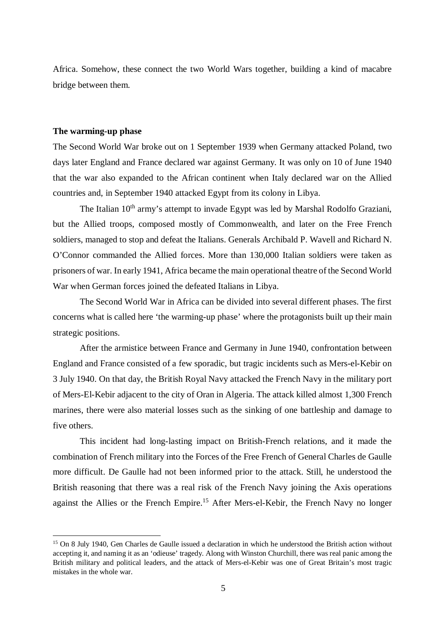Africa. Somehow, these connect the two World Wars together, building a kind of macabre bridge between them.

## **The warming-up phase**

The Second World War broke out on 1 September 1939 when Germany attacked Poland, two days later England and France declared war against Germany. It was only on 10 of June 1940 that the war also expanded to the African continent when Italy declared war on the Allied countries and, in September 1940 attacked Egypt from its colony in Libya.

The Italian 10<sup>th</sup> army's attempt to invade Egypt was led by Marshal Rodolfo Graziani, but the Allied troops, composed mostly of Commonwealth, and later on the Free French soldiers, managed to stop and defeat the Italians. Generals Archibald P. Wavell and Richard N. O'Connor commanded the Allied forces. More than 130,000 Italian soldiers were taken as prisoners of war. In early 1941, Africa became the main operational theatre of the Second World War when German forces joined the defeated Italians in Libya.

The Second World War in Africa can be divided into several different phases. The first concerns what is called here 'the warming-up phase' where the protagonists built up their main strategic positions.

After the armistice between France and Germany in June 1940, confrontation between England and France consisted of a few sporadic, but tragic incidents such as Mers-el-Kebir on 3 July 1940. On that day, the British Royal Navy attacked the French Navy in the military port of Mers-El-Kebir adjacent to the city of Oran in Algeria. The attack killed almost 1,300 French marines, there were also material losses such as the sinking of one battleship and damage to five others.

This incident had long-lasting impact on British-French relations, and it made the combination of French military into the Forces of the Free French of General Charles de Gaulle more difficult. De Gaulle had not been informed prior to the attack. Still, he understood the British reasoning that there was a real risk of the French Navy joining the Axis operations against the Allies or the French Empire.<sup>15</sup> After Mers-el-Kebir, the French Navy no longer

<sup>&</sup>lt;sup>15</sup> On 8 July 1940, Gen Charles de Gaulle issued a declaration in which he understood the British action without accepting it, and naming it as an 'odieuse' tragedy. Along with Winston Churchill, there was real panic among the British military and political leaders, and the attack of Mers-el-Kebir was one of Great Britain's most tragic mistakes in the whole war.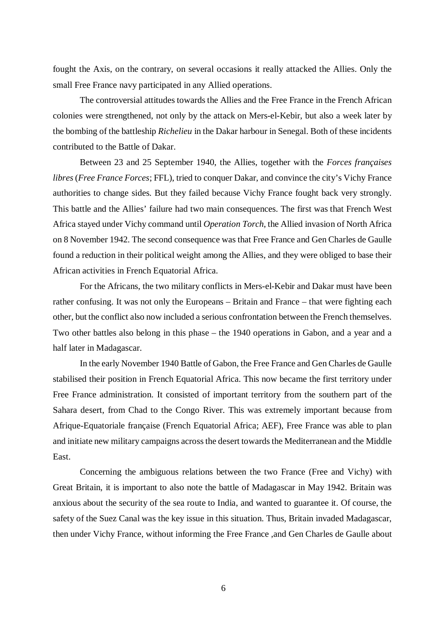fought the Axis, on the contrary, on several occasions it really attacked the Allies. Only the small Free France navy participated in any Allied operations.

The controversial attitudes towards the Allies and the Free France in the French African colonies were strengthened, not only by the attack on Mers-el-Kebir, but also a week later by the bombing of the battleship *Richelieu* in the Dakar harbour in Senegal. Both of these incidents contributed to the Battle of Dakar.

Between 23 and 25 September 1940, the Allies, together with the *Forces françaises libres* (*Free France Forces*; FFL), tried to conquer Dakar, and convince the city's Vichy France authorities to change sides. But they failed because Vichy France fought back very strongly. This battle and the Allies' failure had two main consequences. The first was that French West Africa stayed under Vichy command until *Operation Torch*, the Allied invasion of North Africa on 8 November 1942. The second consequence was that Free France and Gen Charles de Gaulle found a reduction in their political weight among the Allies, and they were obliged to base their African activities in French Equatorial Africa.

For the Africans, the two military conflicts in Mers-el-Kebir and Dakar must have been rather confusing. It was not only the Europeans – Britain and France – that were fighting each other, but the conflict also now included a serious confrontation between the French themselves. Two other battles also belong in this phase – the 1940 operations in Gabon, and a year and a half later in Madagascar.

In the early November 1940 Battle of Gabon, the Free France and Gen Charles de Gaulle stabilised their position in French Equatorial Africa. This now became the first territory under Free France administration. It consisted of important territory from the southern part of the Sahara desert, from Chad to the Congo River. This was extremely important because from Afrique-Equatoriale française (French Equatorial Africa; AEF), Free France was able to plan and initiate new military campaigns across the desert towards the Mediterranean and the Middle East.

Concerning the ambiguous relations between the two France (Free and Vichy) with Great Britain, it is important to also note the battle of Madagascar in May 1942. Britain was anxious about the security of the sea route to India, and wanted to guarantee it. Of course, the safety of the Suez Canal was the key issue in this situation. Thus, Britain invaded Madagascar, then under Vichy France, without informing the Free France ,and Gen Charles de Gaulle about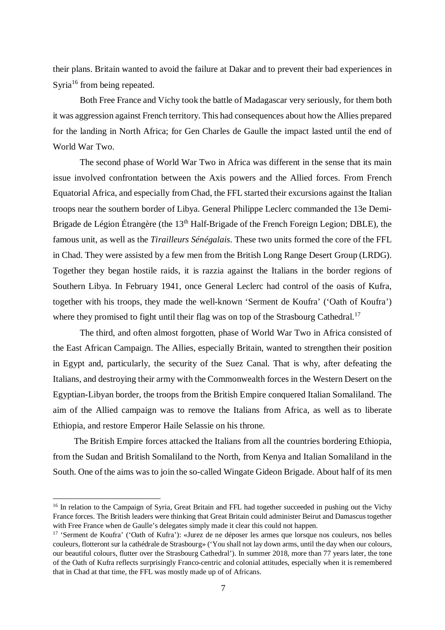their plans. Britain wanted to avoid the failure at Dakar and to prevent their bad experiences in Syria<sup>16</sup> from being repeated.

Both Free France and Vichy took the battle of Madagascar very seriously, for them both it was aggression against French territory. This had consequences about how the Allies prepared for the landing in North Africa; for Gen Charles de Gaulle the impact lasted until the end of World War Two.

The second phase of World War Two in Africa was different in the sense that its main issue involved confrontation between the Axis powers and the Allied forces. From French Equatorial Africa, and especially from Chad, the FFL started their excursions against the Italian troops near the southern border of Libya. General Philippe Leclerc commanded the 13e Demi-Brigade de Légion Étrangère (the 13<sup>th</sup> Half-Brigade of the French Foreign Legion; DBLE), the famous unit, as well as the *Tirailleurs Sénégalais*. These two units formed the core of the FFL in Chad. They were assisted by a few men from the British Long Range Desert Group (LRDG). Together they began hostile raids, it is razzia against the Italians in the border regions of Southern Libya. In February 1941, once General Leclerc had control of the oasis of Kufra, together with his troops, they made the well-known 'Serment de Koufra' ('Oath of Koufra') where they promised to fight until their flag was on top of the Strasbourg Cathedral.<sup>17</sup>

The third, and often almost forgotten, phase of World War Two in Africa consisted of the East African Campaign. The Allies, especially Britain, wanted to strengthen their position in Egypt and, particularly, the security of the Suez Canal. That is why, after defeating the Italians, and destroying their army with the Commonwealth forces in the Western Desert on the Egyptian-Libyan border, the troops from the British Empire conquered Italian Somaliland. The aim of the Allied campaign was to remove the Italians from Africa, as well as to liberate Ethiopia, and restore Emperor Haile Selassie on his throne.

The British Empire forces attacked the Italians from all the countries bordering Ethiopia, from the Sudan and British Somaliland to the North, from Kenya and Italian Somaliland in the South. One of the aims was to join the so-called Wingate Gideon Brigade. About half of its men

<sup>&</sup>lt;sup>16</sup> In relation to the Campaign of Syria, Great Britain and FFL had together succeeded in pushing out the Vichy France forces. The British leaders were thinking that Great Britain could administer Beirut and Damascus together with Free France when de Gaulle's delegates simply made it clear this could not happen.

<sup>17</sup> 'Serment de Koufra' ('Oath of Kufra'): «Jurez de ne déposer les armes que lorsque nos couleurs, nos belles couleurs, flotteront sur la cathédrale de Strasbourg» ('You shall not lay down arms, until the day when our colours, our beautiful colours, flutter over the Strasbourg Cathedral'). In summer 2018, more than 77 years later, the tone of the Oath of Kufra reflects surprisingly Franco-centric and colonial attitudes, especially when it is remembered that in Chad at that time, the FFL was mostly made up of of Africans.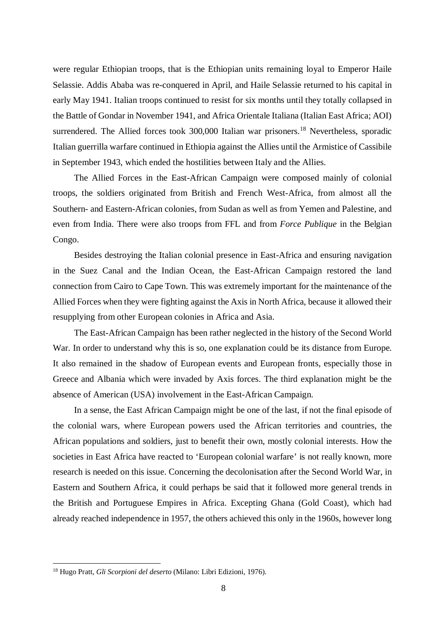were regular Ethiopian troops, that is the Ethiopian units remaining loyal to Emperor Haile Selassie. Addis Ababa was re-conquered in April, and Haile Selassie returned to his capital in early May 1941. Italian troops continued to resist for six months until they totally collapsed in the Battle of Gondar in November 1941, and Africa Orientale Italiana (Italian East Africa; AOI) surrendered. The Allied forces took 300,000 Italian war prisoners.<sup>18</sup> Nevertheless, sporadic Italian guerrilla warfare continued in Ethiopia against the Allies until the Armistice of Cassibile in September 1943, which ended the hostilities between Italy and the Allies.

The Allied Forces in the East-African Campaign were composed mainly of colonial troops, the soldiers originated from British and French West-Africa, from almost all the Southern- and Eastern-African colonies, from Sudan as well as from Yemen and Palestine, and even from India. There were also troops from FFL and from *Force Publique* in the Belgian Congo.

Besides destroying the Italian colonial presence in East-Africa and ensuring navigation in the Suez Canal and the Indian Ocean, the East-African Campaign restored the land connection from Cairo to Cape Town. This was extremely important for the maintenance of the Allied Forces when they were fighting against the Axis in North Africa, because it allowed their resupplying from other European colonies in Africa and Asia.

The East-African Campaign has been rather neglected in the history of the Second World War. In order to understand why this is so, one explanation could be its distance from Europe. It also remained in the shadow of European events and European fronts, especially those in Greece and Albania which were invaded by Axis forces. The third explanation might be the absence of American (USA) involvement in the East-African Campaign.

In a sense, the East African Campaign might be one of the last, if not the final episode of the colonial wars, where European powers used the African territories and countries, the African populations and soldiers, just to benefit their own, mostly colonial interests. How the societies in East Africa have reacted to 'European colonial warfare' is not really known, more research is needed on this issue. Concerning the decolonisation after the Second World War, in Eastern and Southern Africa, it could perhaps be said that it followed more general trends in the British and Portuguese Empires in Africa. Excepting Ghana (Gold Coast), which had already reached independence in 1957, the others achieved this only in the 1960s, however long

<sup>18</sup> Hugo Pratt, *Gli Scorpioni del deserto* (Milano: Libri Edizioni, 1976).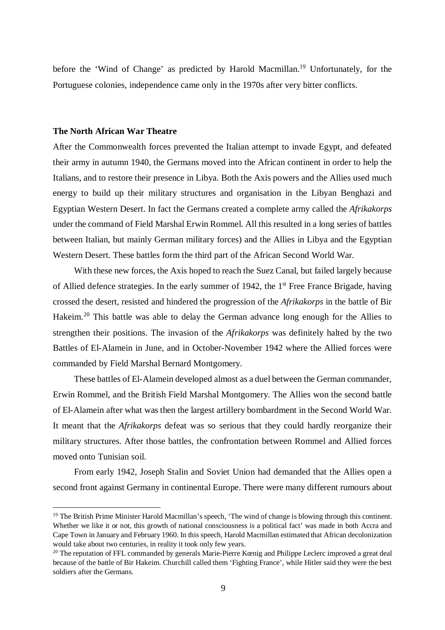before the 'Wind of Change' as predicted by Harold Macmillan.<sup>19</sup> Unfortunately, for the Portuguese colonies, independence came only in the 1970s after very bitter conflicts.

# **The North African War Theatre**

After the Commonwealth forces prevented the Italian attempt to invade Egypt, and defeated their army in autumn 1940, the Germans moved into the African continent in order to help the Italians, and to restore their presence in Libya. Both the Axis powers and the Allies used much energy to build up their military structures and organisation in the Libyan Benghazi and Egyptian Western Desert. In fact the Germans created a complete army called the *Afrikakorps* under the command of Field Marshal Erwin Rommel. All this resulted in a long series of battles between Italian, but mainly German military forces) and the Allies in Libya and the Egyptian Western Desert. These battles form the third part of the African Second World War.

With these new forces, the Axis hoped to reach the Suez Canal, but failed largely because of Allied defence strategies. In the early summer of 1942, the 1<sup>st</sup> Free France Brigade, having crossed the desert, resisted and hindered the progression of the *Afrikakorps* in the battle of Bir Hakeim.<sup>20</sup> This battle was able to delay the German advance long enough for the Allies to strengthen their positions. The invasion of the *Afrikakorps* was definitely halted by the two Battles of El-Alamein in June, and in October-November 1942 where the Allied forces were commanded by Field Marshal Bernard Montgomery.

These battles of El-Alamein developed almost as a duel between the German commander, Erwin Rommel, and the British Field Marshal Montgomery. The Allies won the second battle of El-Alamein after what was then the largest artillery bombardment in the Second World War. It meant that the *Afrikakorps* defeat was so serious that they could hardly reorganize their military structures. After those battles, the confrontation between Rommel and Allied forces moved onto Tunisian soil.

From early 1942, Joseph Stalin and Soviet Union had demanded that the Allies open a second front against Germany in continental Europe. There were many different rumours about

<sup>&</sup>lt;sup>19</sup> The British Prime Minister Harold Macmillan's speech, 'The wind of change is blowing through this continent. Whether we like it or not, this growth of national consciousness is a political fact' was made in both Accra and Cape Town in January and February 1960. In this speech, Harold Macmillan estimated that African decolonization would take about two centuries, in reality it took only few years.

<sup>&</sup>lt;sup>20</sup> The reputation of FFL commanded by generals Marie-Pierre Kœnig and Philippe Leclerc improved a great deal because of the battle of Bir Hakeim. Churchill called them 'Fighting France', while Hitler said they were the best soldiers after the Germans.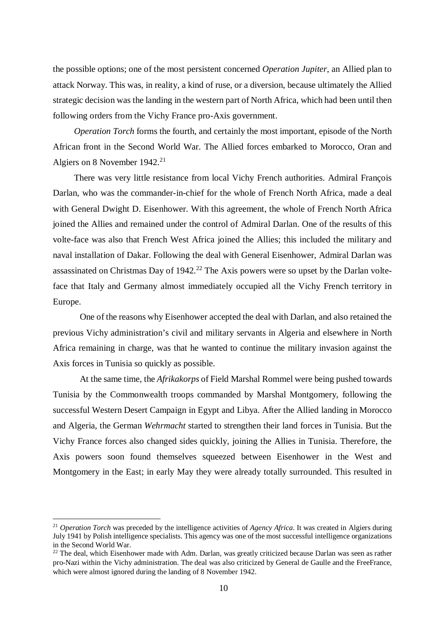the possible options; one of the most persistent concerned *Operation Jupiter*, an Allied plan to attack Norway. This was, in reality, a kind of ruse, or a diversion, because ultimately the Allied strategic decision was the landing in the western part of North Africa, which had been until then following orders from the Vichy France pro-Axis government.

*Operation Torch* forms the fourth, and certainly the most important, episode of the North African front in the Second World War. The Allied forces embarked to Morocco, Oran and Algiers on 8 November 1942.<sup>21</sup>

There was very little resistance from local Vichy French authorities. Admiral François Darlan, who was the commander-in-chief for the whole of French North Africa, made a deal with General Dwight D. Eisenhower. With this agreement, the whole of French North Africa joined the Allies and remained under the control of Admiral Darlan. One of the results of this volte-face was also that French West Africa joined the Allies; this included the military and naval installation of Dakar. Following the deal with General Eisenhower, Admiral Darlan was assassinated on Christmas Day of  $1942<sup>22</sup>$  The Axis powers were so upset by the Darlan volteface that Italy and Germany almost immediately occupied all the Vichy French territory in Europe.

One of the reasons why Eisenhower accepted the deal with Darlan, and also retained the previous Vichy administration's civil and military servants in Algeria and elsewhere in North Africa remaining in charge, was that he wanted to continue the military invasion against the Axis forces in Tunisia so quickly as possible.

At the same time, the *Afrikakorps* of Field Marshal Rommel were being pushed towards Tunisia by the Commonwealth troops commanded by Marshal Montgomery, following the successful Western Desert Campaign in Egypt and Libya. After the Allied landing in Morocco and Algeria, the German *Wehrmacht* started to strengthen their land forces in Tunisia. But the Vichy France forces also changed sides quickly, joining the Allies in Tunisia. Therefore, the Axis powers soon found themselves squeezed between Eisenhower in the West and Montgomery in the East; in early May they were already totally surrounded. This resulted in

<sup>&</sup>lt;sup>21</sup> *Operation Torch* was preceded by the intelligence activities of *Agency Africa*. It was created in Algiers during July 1941 by Polish intelligence specialists. This agency was one of the most successful intelligence organizations in the Second World War.

<sup>&</sup>lt;sup>22</sup> The deal, which Eisenhower made with Adm. Darlan, was greatly criticized because Darlan was seen as rather pro-Nazi within the Vichy administration. The deal was also criticized by General de Gaulle and the FreeFrance, which were almost ignored during the landing of 8 November 1942.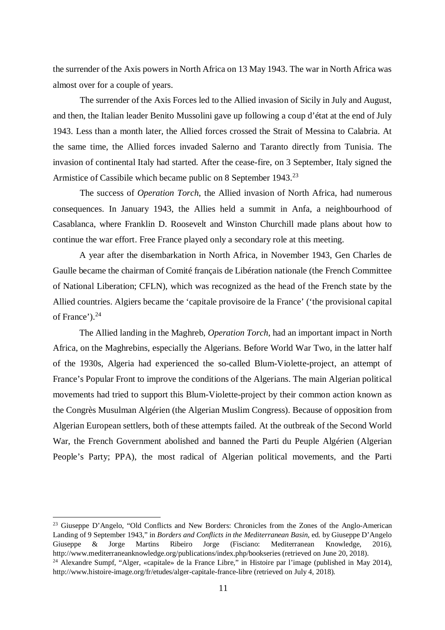the surrender of the Axis powers in North Africa on 13 May 1943. The war in North Africa was almost over for a couple of years.

The surrender of the Axis Forces led to the Allied invasion of Sicily in July and August, and then, the Italian leader Benito Mussolini gave up following a coup d'état at the end of July 1943. Less than a month later, the Allied forces crossed the Strait of Messina to Calabria. At the same time, the Allied forces invaded Salerno and Taranto directly from Tunisia. The invasion of continental Italy had started. After the cease-fire, on 3 September, Italy signed the Armistice of Cassibile which became public on 8 September 1943.<sup>23</sup>

The success of *Operation Torch*, the Allied invasion of North Africa, had numerous consequences. In January 1943, the Allies held a summit in Anfa, a neighbourhood of Casablanca, where Franklin D. Roosevelt and Winston Churchill made plans about how to continue the war effort. Free France played only a secondary role at this meeting.

A year after the disembarkation in North Africa, in November 1943, Gen Charles de Gaulle became the chairman of Comité français de Libération nationale (the French Committee of National Liberation; CFLN), which was recognized as the head of the French state by the Allied countries. Algiers became the 'capitale provisoire de la France' ('the provisional capital of France').<sup>24</sup>

The Allied landing in the Maghreb, *Operation Torch*, had an important impact in North Africa, on the Maghrebins, especially the Algerians. Before World War Two, in the latter half of the 1930s, Algeria had experienced the so-called Blum-Violette-project, an attempt of France's Popular Front to improve the conditions of the Algerians. The main Algerian political movements had tried to support this Blum-Violette-project by their common action known as the Congrès Musulman Algérien (the Algerian Muslim Congress). Because of opposition from Algerian European settlers, both of these attempts failed. At the outbreak of the Second World War, the French Government abolished and banned the Parti du Peuple Algérien (Algerian People's Party; PPA), the most radical of Algerian political movements, and the Parti

<sup>23</sup> Giuseppe D'Angelo, "Old Conflicts and New Borders: Chronicles from the Zones of the Anglo-American Landing of 9 September 1943," in *Borders and Conflicts in the Mediterranean Basin*, ed. by Giuseppe D'Angelo Giuseppe & Jorge Martins Ribeiro Jorge (Fisciano: Mediterranean Knowledge, 2016), http://www.mediterraneanknowledge.org/publications/index.php/bookseries (retrieved on June 20, 2018). <sup>24</sup> Alexandre Sumpf, "Alger, «capitale» de la France Libre," in Histoire par l'image (published in May 2014), http://www.histoire-image.org/fr/etudes/alger-capitale-france-libre (retrieved on July 4, 2018).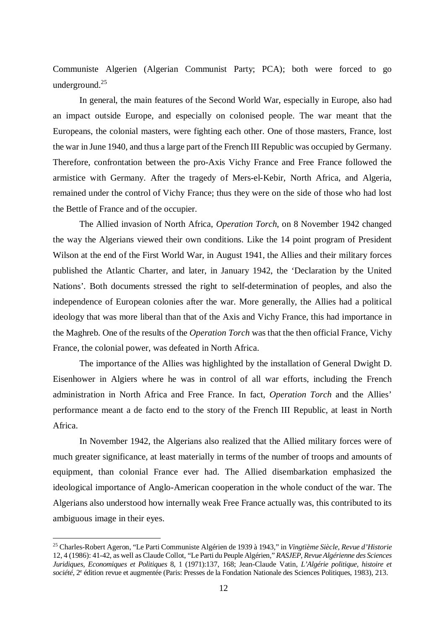Communiste Algerien (Algerian Communist Party; PCA); both were forced to go underground.<sup>25</sup>

In general, the main features of the Second World War, especially in Europe, also had an impact outside Europe, and especially on colonised people. The war meant that the Europeans, the colonial masters, were fighting each other. One of those masters, France, lost the war in June 1940, and thus a large part of the French III Republic was occupied by Germany. Therefore, confrontation between the pro-Axis Vichy France and Free France followed the armistice with Germany. After the tragedy of Mers-el-Kebir, North Africa, and Algeria, remained under the control of Vichy France; thus they were on the side of those who had lost the Bettle of France and of the occupier.

The Allied invasion of North Africa, *Operation Torch*, on 8 November 1942 changed the way the Algerians viewed their own conditions. Like the 14 point program of President Wilson at the end of the First World War, in August 1941, the Allies and their military forces published the Atlantic Charter, and later, in January 1942, the 'Declaration by the United Nations'. Both documents stressed the right to self-determination of peoples, and also the independence of European colonies after the war. More generally, the Allies had a political ideology that was more liberal than that of the Axis and Vichy France, this had importance in the Maghreb. One of the results of the *Operation Torch* was that the then official France, Vichy France, the colonial power, was defeated in North Africa.

The importance of the Allies was highlighted by the installation of General Dwight D. Eisenhower in Algiers where he was in control of all war efforts, including the French administration in North Africa and Free France. In fact, *Operation Torch* and the Allies' performance meant a de facto end to the story of the French III Republic, at least in North Africa.

In November 1942, the Algerians also realized that the Allied military forces were of much greater significance, at least materially in terms of the number of troops and amounts of equipment, than colonial France ever had. The Allied disembarkation emphasized the ideological importance of Anglo-American cooperation in the whole conduct of the war. The Algerians also understood how internally weak Free France actually was, this contributed to its ambiguous image in their eyes.

<sup>25</sup> Charles-Robert Ageron, "Le Parti Communiste Algérien de 1939 à 1943," in *Vingtième Siècle, Revue d'Historie* 12, 4 (1986): 41-42, as well as Claude Collot, "Le Parti du Peuple Algérien," *RASJEP*, *Revue Algérienne des Sciences Juridiques, Economiques et Politiques* 8, 1 (1971):137, 168; Jean-Claude Vatin, *L'Algérie politique, histoire et* société, 2<sup>e</sup> édition revue et augmentée (Paris: Presses de la Fondation Nationale des Sciences Politiques, 1983), 213.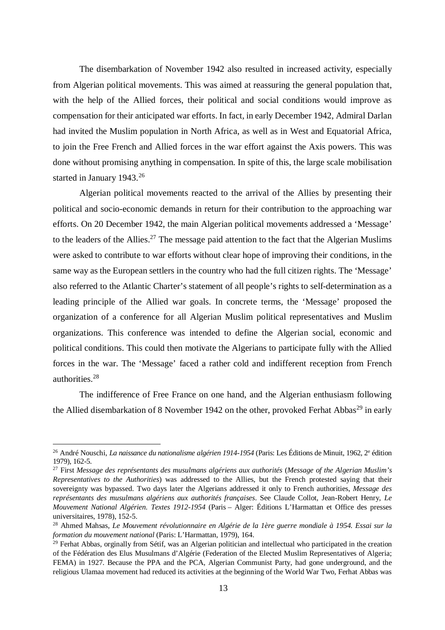The disembarkation of November 1942 also resulted in increased activity, especially from Algerian political movements. This was aimed at reassuring the general population that, with the help of the Allied forces, their political and social conditions would improve as compensation for their anticipated war efforts. In fact, in early December 1942, Admiral Darlan had invited the Muslim population in North Africa, as well as in West and Equatorial Africa, to join the Free French and Allied forces in the war effort against the Axis powers. This was done without promising anything in compensation. In spite of this, the large scale mobilisation started in January 1943.<sup>26</sup>

Algerian political movements reacted to the arrival of the Allies by presenting their political and socio-economic demands in return for their contribution to the approaching war efforts. On 20 December 1942, the main Algerian political movements addressed a 'Message' to the leaders of the Allies.<sup>27</sup> The message paid attention to the fact that the Algerian Muslims were asked to contribute to war efforts without clear hope of improving their conditions, in the same way as the European settlers in the country who had the full citizen rights. The 'Message' also referred to the Atlantic Charter's statement of all people's rights to self-determination as a leading principle of the Allied war goals. In concrete terms, the 'Message' proposed the organization of a conference for all Algerian Muslim political representatives and Muslim organizations. This conference was intended to define the Algerian social, economic and political conditions. This could then motivate the Algerians to participate fully with the Allied forces in the war. The 'Message' faced a rather cold and indifferent reception from French authorities.<sup>28</sup>

The indifference of Free France on one hand, and the Algerian enthusiasm following the Allied disembarkation of 8 November 1942 on the other, provoked Ferhat Abbas<sup>29</sup> in early

<sup>&</sup>lt;sup>26</sup> André Nouschi, *La naissance du nationalisme algérien 1914-1954* (Paris: Les Éditions de Minuit, 1962, 2<sup>e</sup> édition 1979), 162-5.

<sup>27</sup> First *Message des représentants des musulmans algériens aux authorités* (*Message of the Algerian Muslim's Representatives to the Authorities*) was addressed to the Allies, but the French protested saying that their sovereignty was bypassed. Two days later the Algerians addressed it only to French authorities, *Message des représentants des musulmans algériens aux authorités françaises*. See Claude Collot, Jean-Robert Henry, *Le Mouvement National Algérien. Textes 1912-1954* (Paris – Alger: Éditions L'Harmattan et Office des presses universitaires, 1978), 152-5.

<sup>28</sup> Ahmed Mahsas, *Le Mouvement révolutionnaire en Algérie de la 1ère guerre mondiale à 1954. Essai sur la formation du mouvement national* (Paris: L'Harmattan, 1979), 164.

<sup>&</sup>lt;sup>29</sup> Ferhat Abbas, orginally from Sétif, was an Algerian politician and intellectual who participated in the creation of the Fédération des Elus Musulmans d'Algérie (Federation of the Elected Muslim Representatives of Algeria; FEMA) in 1927. Because the PPA and the PCA, Algerian Communist Party, had gone underground, and the religious Ulamaa movement had reduced its activities at the beginning of the World War Two, Ferhat Abbas was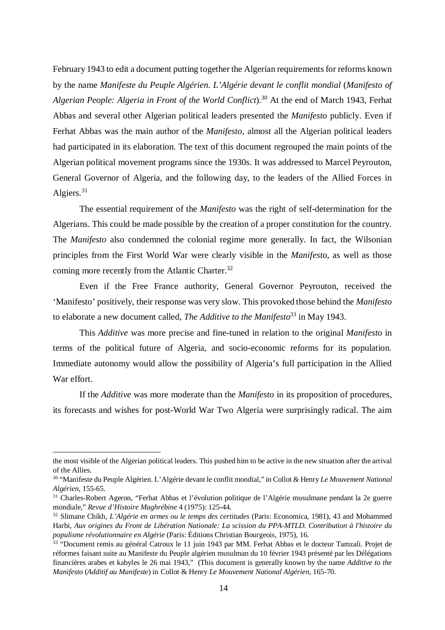February 1943 to edit a document putting together the Algerian requirements for reforms known by the name *Manifeste du Peuple Algérien. L'Algérie devant le conflit mondial* (*Manifesto of Algerian People: Algeria in Front of the World Conflict*).<sup>30</sup> At the end of March 1943, Ferhat Abbas and several other Algerian political leaders presented the *Manifesto* publicly. Even if Ferhat Abbas was the main author of the *Manifesto*, almost all the Algerian political leaders had participated in its elaboration. The text of this document regrouped the main points of the Algerian political movement programs since the 1930s. It was addressed to Marcel Peyrouton, General Governor of Algeria, and the following day, to the leaders of the Allied Forces in Algiers.<sup>31</sup>

The essential requirement of the *Manifesto* was the right of self-determination for the Algerians. This could be made possible by the creation of a proper constitution for the country. The *Manifesto* also condemned the colonial regime more generally. In fact, the Wilsonian principles from the First World War were clearly visible in the *Manifesto*, as well as those coming more recently from the Atlantic Charter.<sup>32</sup>

Even if the Free France authority, General Governor Peyrouton, received the 'Manifesto' positively, their response was very slow. This provoked those behind the *Manifesto* to elaborate a new document called, *The Additive to the Manifesto*<sup>33</sup> in May 1943.

This *Additive* was more precise and fine-tuned in relation to the original *Manifesto* in terms of the political future of Algeria, and socio-economic reforms for its population. Immediate autonomy would allow the possibility of Algeria's full participation in the Allied War effort.

If the *Additive* was more moderate than the *Manifesto* in its proposition of procedures, its forecasts and wishes for post-World War Two Algeria were surprisingly radical. The aim

the most visible of the Algerian political leaders. This pushed him to be active in the new situation after the arrival of the Allies.

<sup>30</sup> "Manifeste du Peuple Algérien. L'Algérie devant le conflit mondial," in Collot & Henry *Le Mouvement National Algérien*, 155-65.

<sup>31</sup> Charles-Robert Ageron, "Ferhat Abbas et l'évolution politique de l'Algérie musulmane pendant la 2e guerre mondiale," *Revue d'Histoire Maghrébine* 4 (1975): 125-44.

<sup>32</sup> Slimane Chikh, *L'Algérie en armes ou le temps des certitudes* (Paris: Economica, 1981), 43 and Mohammed Harbi, *Aux origines du Front de Libération Nationale: La scission du PPA-MTLD. Contribution à l'histoire du populisme révolutionnaire en Algérie* (Paris: Éditions Christian Bourgeois, 1975), 16.

<sup>&</sup>lt;sup>33</sup> "Document remis au général Catroux le 11 juin 1943 par MM. Ferhat Abbas et le docteur Tamzali. Projet de réformes faisant suite au Manifeste du Peuple algérien musulman du 10 février 1943 présenté par les Délégations financières arabes et kabyles le 26 mai 1943," (This document is generally known by the name *Additive to the Manifesto* (*Additif au Manifeste*) in Collot & Henry *Le Mouvement National Algérien*, 165-70.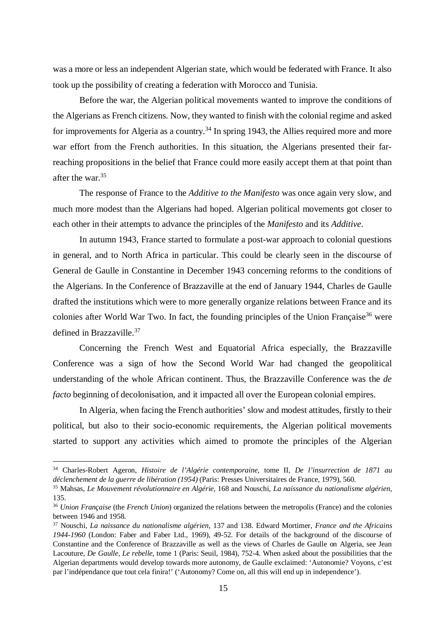was a more or less an independent Algerian state, which would be federated with France. It also took up the possibility of creating a federation with Morocco and Tunisia.

Before the war, the Algerian political movements wanted to improve the conditions of the Algerians as French citizens. Now, they wanted to finish with the colonial regime and asked for improvements for Algeria as a country.<sup>34</sup> In spring 1943, the Allies required more and more war effort from the French authorities. In this situation, the Algerians presented their farreaching propositions in the belief that France could more easily accept them at that point than after the war.<sup>35</sup>

The response of France to the *Additive to the Manifesto* was once again very slow, and much more modest than the Algerians had hoped. Algerian political movements got closer to each other in their attempts to advance the principles of the *Manifesto* and its *Additive*.

In autumn 1943, France started to formulate a post-war approach to colonial questions in general, and to North Africa in particular. This could be clearly seen in the discourse of General de Gaulle in Constantine in December 1943 concerning reforms to the conditions of the Algerians. In the Conference of Brazzaville at the end of January 1944, Charles de Gaulle drafted the institutions which were to more generally organize relations between France and its colonies after World War Two. In fact, the founding principles of the Union Française<sup>36</sup> were defined in Brazzaville.<sup>37</sup>

Concerning the French West and Equatorial Africa especially, the Brazzaville Conference was a sign of how the Second World War had changed the geopolitical understanding of the whole African continent. Thus, the Brazzaville Conference was the *de facto* beginning of decolonisation, and it impacted all over the European colonial empires.

In Algeria, when facing the French authorities' slow and modest attitudes, firstly to their political, but also to their socio-economic requirements, the Algerian political movements started to support any activities which aimed to promote the principles of the Algerian

<sup>34</sup> Charles-Robert Ageron, *Histoire de l'Algérie contemporaine*, tome II, *De l'insurrection de 1871 au déclenchement de la guerre de libération (1954)* (Paris: Presses Universitaires de France, 1979), 560.

<sup>35</sup> Mahsas, *Le Mouvement révolutionnaire en Algérie*, 168 and Nouschi, *La naissance du nationalisme algérien*, 135.

<sup>36</sup> *Union Française* (the *French Union*) organized the relations between the metropolis (France) and the colonies between 1946 and 1958.

<sup>37</sup> Nouschi, *La naissance du nationalisme algérien*, 137 and 138. Edward Mortimer, *France and the Africains 1944-1960* (London: Faber and Faber Ltd., 1969), 49-52. For details of the background of the discourse of Constantine and the Conference of Brazzaville as well as the views of Charles de Gaulle on Algeria, see Jean Lacouture, *De Gaulle, Le rebelle*, tome 1 (Paris: Seuil, 1984), 752-4. When asked about the possibilities that the Algerian departments would develop towards more autonomy, de Gaulle exclaimed: 'Autonomie? Voyons, c'est par l'indépendance que tout cela finira!' ('Autonomy? Come on, all this will end up in independence').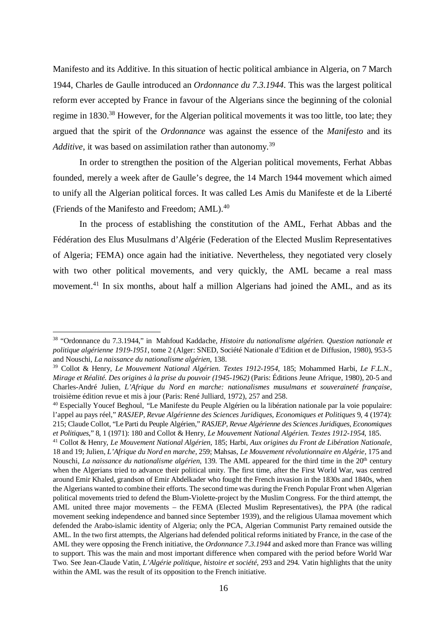Manifesto and its Additive. In this situation of hectic political ambiance in Algeria, on 7 March 1944, Charles de Gaulle introduced an *Ordonnance du 7.3.1944*. This was the largest political reform ever accepted by France in favour of the Algerians since the beginning of the colonial regime in 1830.<sup>38</sup> However, for the Algerian political movements it was too little, too late; they argued that the spirit of the *Ordonnance* was against the essence of the *Manifesto* and its *Additive*, it was based on assimilation rather than autonomy.<sup>39</sup>

In order to strengthen the position of the Algerian political movements, Ferhat Abbas founded, merely a week after de Gaulle's degree, the 14 March 1944 movement which aimed to unify all the Algerian political forces. It was called Les Amis du Manifeste et de la Liberté (Friends of the Manifesto and Freedom; AML).<sup>40</sup>

In the process of establishing the constitution of the AML, Ferhat Abbas and the Fédération des Elus Musulmans d'Algérie (Federation of the Elected Muslim Representatives of Algeria; FEMA) once again had the initiative. Nevertheless, they negotiated very closely with two other political movements, and very quickly, the AML became a real mass movement.<sup>41</sup> In six months, about half a million Algerians had joined the AML, and as its

<sup>38</sup> "Ordonnance du 7.3.1944," in Mahfoud Kaddache, *Histoire du nationalisme algérien. Question nationale et politique algérienne 1919-1951*, tome 2 (Alger: SNED, Société Nationale d'Edition et de Diffusion, 1980), 953-5 and Nouschi, *La naissance du nationalisme algérien*, 138.

<sup>39</sup> Collot & Henry, *Le Mouvement National Algérien. Textes 1912-1954*, 185; Mohammed Harbi, *Le F.L.N., Mirage et Réalité. Des origines à la prise du pouvoir (1945-1962)* (Paris: Éditions Jeune Afrique, 1980), 20-5 and Charles-André Julien, *L'Afrique du Nord en marche: nationalismes musulmans et souveraineté française*, troisième édition revue et mis à jour (Paris: René Julliard, 1972), 257 and 258.

<sup>40</sup> Especially Youcef Beghoul, "Le Manifeste du Peuple Algérien ou la libération nationale par la voie populaire: l'appel au pays réel," *RASJEP, Revue Algérienne des Sciences Juridiques, Economiques et Politiques* 9, 4 (1974): 215; Claude Collot, "Le Parti du Peuple Algérien," *RASJEP*, *Revue Algérienne des Sciences Juridiques, Economiques et Politiques*," 8, 1 (1971): 180 and Collot & Henry, *Le Mouvement National Algérien. Textes 1912-1954*, 185.

<sup>41</sup> Collot & Henry, *Le Mouvement National Algérien*, 185; Harbi, *Aux origines du Front de Libération Nationale*, 18 and 19; Julien, *L'Afrique du Nord en marche*, 259; Mahsas, *Le Mouvement révolutionnaire en Algérie*, 175 and Nouschi, *La naissance du nationalisme algérien*, 139. The AML appeared for the third time in the 20th century when the Algerians tried to advance their political unity. The first time, after the First World War, was centred around Emir Khaled, grandson of Emir Abdelkader who fought the French invasion in the 1830s and 1840s, when the Algerians wanted to combine their efforts. The second time was during the French Popular Front when Algerian political movements tried to defend the Blum-Violette-project by the Muslim Congress. For the third attempt, the AML united three major movements – the FEMA (Elected Muslim Representatives), the PPA (the radical movement seeking independence and banned since September 1939), and the religious Ulamaa movement which defended the Arabo-islamic identity of Algeria; only the PCA, Algerian Communist Party remained outside the AML. In the two first attempts, the Algerians had defended political reforms initiated by France, in the case of the AML they were opposing the French initiative, the *Ordonnance 7.3.1944* and asked more than France was willing to support. This was the main and most important difference when compared with the period before World War Two. See Jean-Claude Vatin, *L'Algérie politique, histoire et société*, 293 and 294. Vatin highlights that the unity within the AML was the result of its opposition to the French initiative.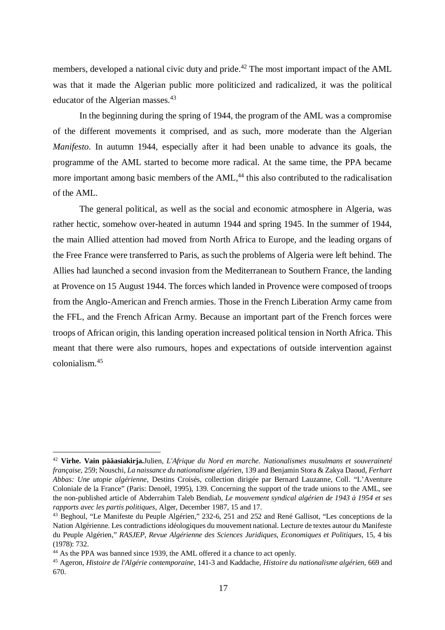members, developed a national civic duty and pride.<sup>42</sup> The most important impact of the AML was that it made the Algerian public more politicized and radicalized, it was the political educator of the Algerian masses.<sup>43</sup>

In the beginning during the spring of 1944, the program of the AML was a compromise of the different movements it comprised, and as such, more moderate than the Algerian *Manifesto*. In autumn 1944, especially after it had been unable to advance its goals, the programme of the AML started to become more radical. At the same time, the PPA became more important among basic members of the AML,<sup>44</sup> this also contributed to the radicalisation of the AML.

The general political, as well as the social and economic atmosphere in Algeria, was rather hectic, somehow over-heated in autumn 1944 and spring 1945. In the summer of 1944, the main Allied attention had moved from North Africa to Europe, and the leading organs of the Free France were transferred to Paris, as such the problems of Algeria were left behind. The Allies had launched a second invasion from the Mediterranean to Southern France, the landing at Provence on 15 August 1944. The forces which landed in Provence were composed of troops from the Anglo-American and French armies. Those in the French Liberation Army came from the FFL, and the French African Army. Because an important part of the French forces were troops of African origin, this landing operation increased political tension in North Africa. This meant that there were also rumours, hopes and expectations of outside intervention against colonialism.<sup>45</sup>

<sup>42</sup> **Virhe. Vain pääasiakirja.**Julien, *L'Afrique du Nord en marche. Nationalismes musulmans et souveraineté française*, 259; Nouschi, *La naissance du nationalisme algérien*, 139 and Benjamin Stora & Zakya Daoud, *Ferhart Abbas: Une utopie algérienne*, Destins Croisés, collection dirigée par Bernard Lauzanne, Coll. "L'Aventure Coloniale de la France" (Paris: Denoël, 1995), 139. Concerning the support of the trade unions to the AML, see the non-published article of Abderrahim Taleb Bendiab, *Le mouvement syndical algérien de 1943 à 1954 et ses rapports avec les partis politiques*, Alger, December 1987, 15 and 17.

<sup>43</sup> Beghoul, "Le Manifeste du Peuple Algérien," 232-6, 251 and 252 and René Gallisot, "Les conceptions de la Nation Algérienne. Les contradictions idéologiques du mouvement national. Lecture de textes autour du Manifeste du Peuple Algérien," *RASJEP*, *Revue Algérienne des Sciences Juridiques, Economiques et Politiques*, 15, 4 bis (1978): 732.

<sup>44</sup> As the PPA was banned since 1939, the AML offered it a chance to act openly.

<sup>45</sup> Ageron, *Histoire de l'Algérie contemporaine*, 141-3 and Kaddache, *Histoire du nationalisme algérien*, 669 and 670.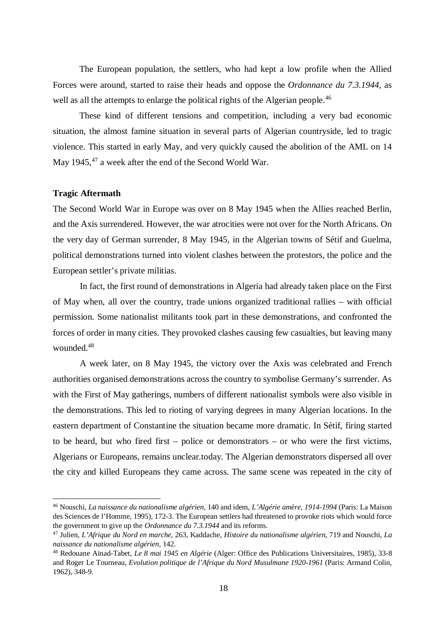The European population, the settlers, who had kept a low profile when the Allied Forces were around, started to raise their heads and oppose the *Ordonnance du 7.3.1944*, as well as all the attempts to enlarge the political rights of the Algerian people.<sup>46</sup>

These kind of different tensions and competition, including a very bad economic situation, the almost famine situation in several parts of Algerian countryside, led to tragic violence. This started in early May, and very quickly caused the abolition of the AML on 14 May 1945,<sup>47</sup> a week after the end of the Second World War.

# **Tragic Aftermath**

The Second World War in Europe was over on 8 May 1945 when the Allies reached Berlin, and the Axis surrendered. However, the war atrocities were not over for the North Africans. On the very day of German surrender, 8 May 1945, in the Algerian towns of Sétif and Guelma, political demonstrations turned into violent clashes between the protestors, the police and the European settler's private militias.

In fact, the first round of demonstrations in Algeria had already taken place on the First of May when, all over the country, trade unions organized traditional rallies – with official permission. Some nationalist militants took part in these demonstrations, and confronted the forces of order in many cities. They provoked clashes causing few casualties, but leaving many wounded.<sup>48</sup>

A week later, on 8 May 1945, the victory over the Axis was celebrated and French authorities organised demonstrations across the country to symbolise Germany's surrender. As with the First of May gatherings, numbers of different nationalist symbols were also visible in the demonstrations. This led to rioting of varying degrees in many Algerian locations. In the eastern department of Constantine the situation became more dramatic. In Sétif, firing started to be heard, but who fired first – police or demonstrators – or who were the first victims, Algerians or Europeans, remains unclear.today. The Algerian demonstrators dispersed all over the city and killed Europeans they came across. The same scene was repeated in the city of

<sup>46</sup> Nouschi, *La naissance du nationalisme algérien*, 140 and idem, *L'Algérie amère, 1914-1994* (Paris: La Maison des Sciences de l'Homme, 1995), 172-3. The European settlers had threatened to provoke riots which would force the government to give up the *Ordonnance du 7.3.1944* and its reforms.

<sup>47</sup> Julien, *L'Afrique du Nord en marche*, 263, Kaddache*, Histoire du nationalisme algérien*, 719 and Nouschi, *La naissance du nationalisme algérien*, 142.

<sup>48</sup> Redouane Aïnad-Tabet, *Le 8 mai 1945 en Algérie* (Alger: Office des Publications Universitaires, 1985), 33-8 and Roger Le Tourneau, *Evolution politique de l'Afrique du Nord Musulmane 1920-1961* (Paris: Armand Colin, 1962), 348-9.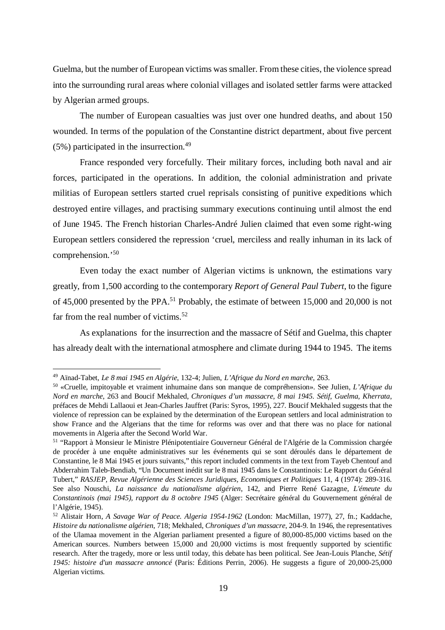Guelma, but the number of European victims was smaller. From these cities, the violence spread into the surrounding rural areas where colonial villages and isolated settler farms were attacked by Algerian armed groups.

The number of European casualties was just over one hundred deaths, and about 150 wounded. In terms of the population of the Constantine district department, about five percent  $(5\%)$  participated in the insurrection.<sup>49</sup>

France responded very forcefully. Their military forces, including both naval and air forces, participated in the operations. In addition, the colonial administration and private militias of European settlers started cruel reprisals consisting of punitive expeditions which destroyed entire villages, and practising summary executions continuing until almost the end of June 1945. The French historian Charles-André Julien claimed that even some right-wing European settlers considered the repression 'cruel, merciless and really inhuman in its lack of comprehension.'<sup>50</sup>

Even today the exact number of Algerian victims is unknown, the estimations vary greatly, from 1,500 according to the contemporary *Report of General Paul Tubert*, to the figure of 45,000 presented by the PPA.<sup>51</sup> Probably, the estimate of between 15,000 and 20,000 is not far from the real number of victims.<sup>52</sup>

As explanations for the insurrection and the massacre of Sétif and Guelma, this chapter has already dealt with the international atmosphere and climate during 1944 to 1945. The items

<sup>49</sup> Aïnad-Tabet, *Le 8 mai 1945 en Algérie*, 132-4; Julien, *L'Afrique du Nord en marche*, 263.

<sup>50</sup> «Cruelle, impitoyable et vraiment inhumaine dans son manque de compréhension». See Julien, *L'Afrique du Nord en marche*, 263 and Boucif Mekhaled, *Chroniques d'un massacre, 8 mai 1945. Sétif, Guelma, Kherrata*, préfaces de Mehdi Lallaoui et Jean-Charles Jauffret (Paris: Syros, 1995), 227. Boucif Mekhaled suggests that the violence of repression can be explained by the determination of the European settlers and local administration to show France and the Algerians that the time for reforms was over and that there was no place for national movements in Algeria after the Second World War.

<sup>51</sup> "Rapport à Monsieur le Ministre Plénipotentiaire Gouverneur Général de l'Algérie de la Commission chargée de procéder à une enquête administratives sur les événements qui se sont déroulés dans le département de Constantine, le 8 Mai 1945 et jours suivants," this report included comments in the text from Tayeb Chentouf and Abderrahim Taleb-Bendiab, "Un Document inédit sur le 8 mai 1945 dans le Constantinois: Le Rapport du Général Tubert," *RASJEP, Revue Algérienne des Sciences Juridiques, Economiques et Politiques* 11, 4 (1974): 289-316. See also Nouschi, *La naissance du nationalisme algérien*, 142, and Pierre René Gazagne, *L'émeute du Constantinois (mai 1945), rapport du 8 octobre 1945* (Alger: Secrétaire général du Gouvernement général de l'Algérie, 1945).

<sup>52</sup> Alistair Horn, *A Savage War of Peace. Algeria 1954-1962* (London: MacMillan, 1977), 27, fn.; Kaddache, *Histoire du nationalisme algérien*, 718; Mekhaled, *Chroniques d'un massacre*, 204-9. In 1946, the representatives of the Ulamaa movement in the Algerian parliament presented a figure of 80,000-85,000 victims based on the American sources. Numbers between 15,000 and 20,000 victims is most frequently supported by scientific research. After the tragedy, more or less until today, this debate has been political. See Jean-Louis Planche, *Sétif 1945: histoire d'un massacre annoncé* (Paris: Éditions Perrin, 2006). He suggests a figure of 20,000-25,000 Algerian victims.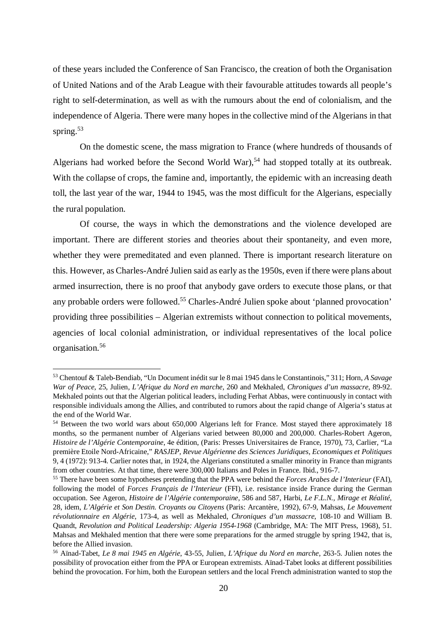of these years included the Conference of San Francisco, the creation of both the Organisation of United Nations and of the Arab League with their favourable attitudes towards all people's right to self-determination, as well as with the rumours about the end of colonialism, and the independence of Algeria. There were many hopes in the collective mind of the Algerians in that spring.<sup>53</sup>

On the domestic scene, the mass migration to France (where hundreds of thousands of Algerians had worked before the Second World War),<sup>54</sup> had stopped totally at its outbreak. With the collapse of crops, the famine and, importantly, the epidemic with an increasing death toll, the last year of the war, 1944 to 1945, was the most difficult for the Algerians, especially the rural population.

Of course, the ways in which the demonstrations and the violence developed are important. There are different stories and theories about their spontaneity, and even more, whether they were premeditated and even planned. There is important research literature on this. However, as Charles-André Julien said as early as the 1950s, even if there were plans about armed insurrection, there is no proof that anybody gave orders to execute those plans, or that any probable orders were followed.<sup>55</sup> Charles-André Julien spoke about 'planned provocation' providing three possibilities – Algerian extremists without connection to political movements, agencies of local colonial administration, or individual representatives of the local police organisation.<sup>56</sup>

<sup>53</sup> Chentouf & Taleb-Bendiab, "Un Document inédit sur le 8 mai 1945 dans le Constantinois," 311; Horn, *A Savage War of Peace*, 25, Julien, *L'Afrique du Nord en marche*, 260 and Mekhaled, *Chroniques d'un massacre*, 89-92. Mekhaled points out that the Algerian political leaders, including Ferhat Abbas, were continuously in contact with responsible individuals among the Allies, and contributed to rumors about the rapid change of Algeria's status at the end of the World War.

<sup>&</sup>lt;sup>54</sup> Between the two world wars about 650,000 Algerians left for France. Most stayed there approximately 18 months, so the permanent number of Algerians varied between 80,000 and 200,000. Charles-Robert Ageron, *Histoire de l'Algérie Contemporaine*, 4e édition, (Paris: Presses Universitaires de France, 1970), 73, Carlier, "La première Etoile Nord-Africaine," *RASJEP, Revue Algérienne des Sciences Juridiques, Economiques et Politiques* 9, 4 (1972): 913-4. Carlier notes that, in 1924, the Algerians constituted a smaller minority in France than migrants from other countries. At that time, there were 300,000 Italians and Poles in France. Ibid., 916-7.

<sup>55</sup> There have been some hypotheses pretending that the PPA were behind the *Forces Arabes de l'Interieur* (FAI), following the model of *Forces Français de l'Interieur* (FFI), i.e. resistance inside France during the German occupation. See Ageron, *Histoire de l'Algérie contemporaine*, 586 and 587, Harbi, *Le F.L.N., Mirage et Réalité*, 28, idem, *L'Algérie et Son Destin. Croyants ou Citoyens* (Paris: Arcantère, 1992), 67-9, Mahsas, *Le Mouvement révolutionnaire en Algérie*, 173-4, as well as Mekhaled, *Chroniques d'un massacre*, 108-10 and William B. Quandt, *Revolution and Political Leadership: Algeria 1954-1968* (Cambridge, MA: The MIT Press, 1968), 51. Mahsas and Mekhaled mention that there were some preparations for the armed struggle by spring 1942, that is, before the Allied invasion.

<sup>56</sup> Aïnad-Tabet, *Le 8 mai 1945 en Algérie*, 43-55, Julien, *L'Afrique du Nord en marche*, 263-5. Julien notes the possibility of provocation either from the PPA or European extremists. Aïnad-Tabet looks at different possibilities behind the provocation. For him, both the European settlers and the local French administration wanted to stop the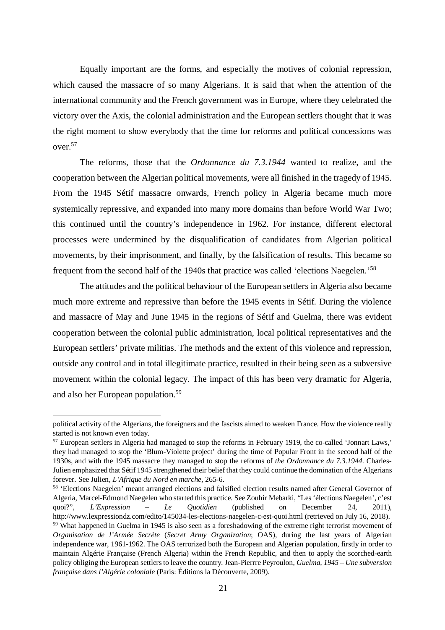Equally important are the forms, and especially the motives of colonial repression, which caused the massacre of so many Algerians. It is said that when the attention of the international community and the French government was in Europe, where they celebrated the victory over the Axis, the colonial administration and the European settlers thought that it was the right moment to show everybody that the time for reforms and political concessions was over.<sup>57</sup>

The reforms, those that the *Ordonnance du 7.3.1944* wanted to realize, and the cooperation between the Algerian political movements, were all finished in the tragedy of 1945. From the 1945 Sétif massacre onwards, French policy in Algeria became much more systemically repressive, and expanded into many more domains than before World War Two; this continued until the country's independence in 1962. For instance, different electoral processes were undermined by the disqualification of candidates from Algerian political movements, by their imprisonment, and finally, by the falsification of results. This became so frequent from the second half of the 1940s that practice was called 'elections Naegelen.'<sup>58</sup>

The attitudes and the political behaviour of the European settlers in Algeria also became much more extreme and repressive than before the 1945 events in Sétif. During the violence and massacre of May and June 1945 in the regions of Sétif and Guelma, there was evident cooperation between the colonial public administration, local political representatives and the European settlers' private militias. The methods and the extent of this violence and repression, outside any control and in total illegitimate practice, resulted in their being seen as a subversive movement within the colonial legacy. The impact of this has been very dramatic for Algeria, and also her European population.<sup>59</sup>

political activity of the Algerians, the foreigners and the fascists aimed to weaken France. How the violence really started is not known even today.

<sup>57</sup> European settlers in Algeria had managed to stop the reforms in February 1919, the co-called 'Jonnart Laws,' they had managed to stop the 'Blum-Violette project' during the time of Popular Front in the second half of the 1930s, and with the 1945 massacre they managed to stop the reforms of *the Ordonnance du 7.3.1944*. Charles-Julien emphasized that Sétif 1945 strengthened their belief that they could continue the domination of the Algerians forever. See Julien, *L'Afrique du Nord en marche*, 265-6.

<sup>58</sup> 'Elections Naegelen' meant arranged elections and falsified election results named after General Governor of Algeria, Marcel-Edmond Naegelen who started this practice. See Zouhir Mebarki, "Les 'élections Naegelen', c'est quoi?", *L'Expression – Le Quotidien* (published on December 24, 2011), http://www.lexpressiondz.com/edito/145034-les-elections-naegelen-c-est-quoi.html (retrieved on July 16, 2018). <sup>59</sup> What happened in Guelma in 1945 is also seen as a foreshadowing of the extreme right terrorist movement of *Organisation de l'Armée Secrète* (*Secret Army Organization*; OAS), during the last years of Algerian independence war, 1961-1962. The OAS terrorized both the European and Algerian population, firstly in order to maintain Algérie Française (French Algeria) within the French Republic, and then to apply the scorched-earth policy obliging the European settlers to leave the country. Jean-Pierrre Peyroulon, *Guelma, 1945 – Une subversion française dans l'Algérie coloniale* (Paris: Éditions la Découverte, 2009).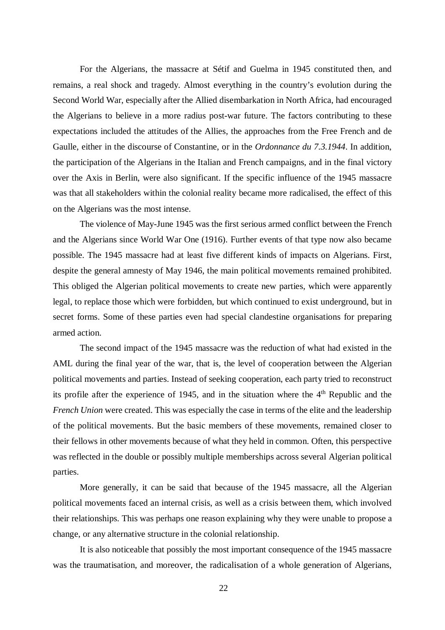For the Algerians, the massacre at Sétif and Guelma in 1945 constituted then, and remains, a real shock and tragedy. Almost everything in the country's evolution during the Second World War, especially after the Allied disembarkation in North Africa, had encouraged the Algerians to believe in a more radius post-war future. The factors contributing to these expectations included the attitudes of the Allies, the approaches from the Free French and de Gaulle, either in the discourse of Constantine, or in the *Ordonnance du 7.3.1944*. In addition, the participation of the Algerians in the Italian and French campaigns, and in the final victory over the Axis in Berlin, were also significant. If the specific influence of the 1945 massacre was that all stakeholders within the colonial reality became more radicalised, the effect of this on the Algerians was the most intense.

The violence of May-June 1945 was the first serious armed conflict between the French and the Algerians since World War One (1916). Further events of that type now also became possible. The 1945 massacre had at least five different kinds of impacts on Algerians. First, despite the general amnesty of May 1946, the main political movements remained prohibited. This obliged the Algerian political movements to create new parties, which were apparently legal, to replace those which were forbidden, but which continued to exist underground, but in secret forms. Some of these parties even had special clandestine organisations for preparing armed action.

The second impact of the 1945 massacre was the reduction of what had existed in the AML during the final year of the war, that is, the level of cooperation between the Algerian political movements and parties. Instead of seeking cooperation, each party tried to reconstruct its profile after the experience of 1945, and in the situation where the  $4<sup>th</sup>$  Republic and the *French Union* were created. This was especially the case in terms of the elite and the leadership of the political movements. But the basic members of these movements, remained closer to their fellows in other movements because of what they held in common. Often, this perspective was reflected in the double or possibly multiple memberships across several Algerian political parties.

More generally, it can be said that because of the 1945 massacre, all the Algerian political movements faced an internal crisis, as well as a crisis between them, which involved their relationships. This was perhaps one reason explaining why they were unable to propose a change, or any alternative structure in the colonial relationship.

It is also noticeable that possibly the most important consequence of the 1945 massacre was the traumatisation, and moreover, the radicalisation of a whole generation of Algerians,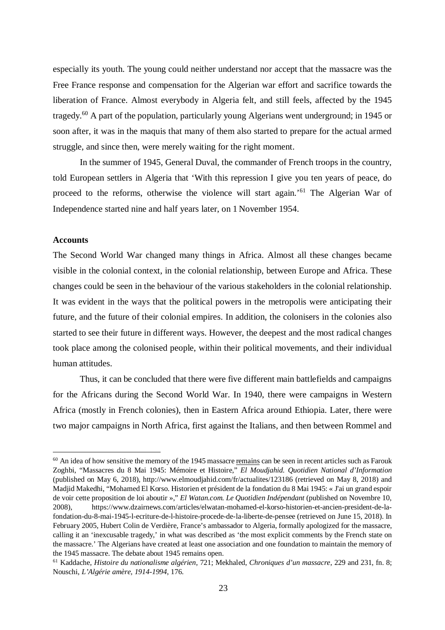especially its youth. The young could neither understand nor accept that the massacre was the Free France response and compensation for the Algerian war effort and sacrifice towards the liberation of France. Almost everybody in Algeria felt, and still feels, affected by the 1945 tragedy.<sup>60</sup> A part of the population, particularly young Algerians went underground; in 1945 or soon after, it was in the maquis that many of them also started to prepare for the actual armed struggle, and since then, were merely waiting for the right moment.

In the summer of 1945, General Duval, the commander of French troops in the country, told European settlers in Algeria that 'With this repression I give you ten years of peace, do proceed to the reforms, otherwise the violence will start again.'<sup>61</sup> The Algerian War of Independence started nine and half years later, on 1 November 1954.

### **Accounts**

The Second World War changed many things in Africa. Almost all these changes became visible in the colonial context, in the colonial relationship, between Europe and Africa. These changes could be seen in the behaviour of the various stakeholders in the colonial relationship. It was evident in the ways that the political powers in the metropolis were anticipating their future, and the future of their colonial empires. In addition, the colonisers in the colonies also started to see their future in different ways. However, the deepest and the most radical changes took place among the colonised people, within their political movements, and their individual human attitudes.

Thus, it can be concluded that there were five different main battlefields and campaigns for the Africans during the Second World War. In 1940, there were campaigns in Western Africa (mostly in French colonies), then in Eastern Africa around Ethiopia. Later, there were two major campaigns in North Africa, first against the Italians, and then between Rommel and

 $60$  An idea of how sensitive the memory of the 1945 massacre remains can be seen in recent articles such as Farouk Zoghbi, "Massacres du 8 Mai 1945: Mémoire et Histoire," *El Moudjahid. Quotidien National d'Information* (published on May 6, 2018), http://www.elmoudjahid.com/fr/actualites/123186 (retrieved on May 8, 2018) and Madjid Makedhi, "Mohamed El Korso. Historien et président de la fondation du 8 Mai 1945: « J'ai un grand espoir de voir cette proposition de loi aboutir »," *El Watan.com. Le Quotidien Indépendant* (published on Novembre 10, 2008), https://www.dzairnews.com/articles/elwatan-mohamed-el-korso-historien-et-ancien-president-de-lafondation-du-8-mai-1945-l-ecriture-de-l-histoire-procede-de-la-liberte-de-pensee (retrieved on June 15, 2018). In February 2005, Hubert Colin de Verdière, France's ambassador to Algeria, formally apologized for the massacre, calling it an 'inexcusable tragedy,' in what was described as 'the most explicit comments by the French state on the massacre.' The Algerians have created at least one association and one foundation to maintain the memory of the 1945 massacre. The debate about 1945 remains open.

<sup>61</sup> Kaddache, *Histoire du nationalisme algérien*, 721; Mekhaled, *Chroniques d'un massacre*, 229 and 231, fn. 8; Nouschi, *L'Algérie amère, 1914-1994*, 176.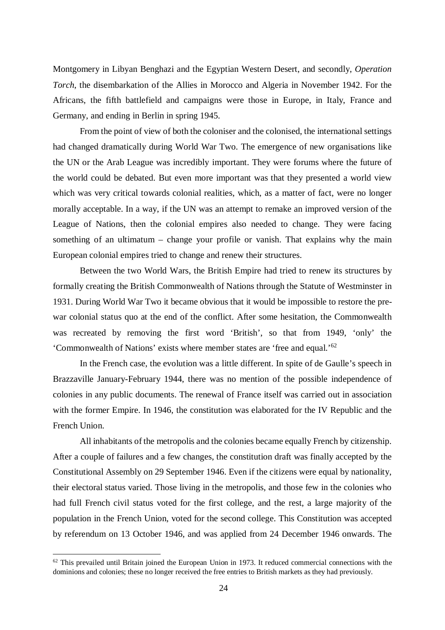Montgomery in Libyan Benghazi and the Egyptian Western Desert, and secondly, *Operation Torch*, the disembarkation of the Allies in Morocco and Algeria in November 1942. For the Africans, the fifth battlefield and campaigns were those in Europe, in Italy, France and Germany, and ending in Berlin in spring 1945.

From the point of view of both the coloniser and the colonised, the international settings had changed dramatically during World War Two. The emergence of new organisations like the UN or the Arab League was incredibly important. They were forums where the future of the world could be debated. But even more important was that they presented a world view which was very critical towards colonial realities, which, as a matter of fact, were no longer morally acceptable. In a way, if the UN was an attempt to remake an improved version of the League of Nations, then the colonial empires also needed to change. They were facing something of an ultimatum – change your profile or vanish. That explains why the main European colonial empires tried to change and renew their structures.

Between the two World Wars, the British Empire had tried to renew its structures by formally creating the British Commonwealth of Nations through the Statute of Westminster in 1931. During World War Two it became obvious that it would be impossible to restore the prewar colonial status quo at the end of the conflict. After some hesitation, the Commonwealth was recreated by removing the first word 'British', so that from 1949, 'only' the 'Commonwealth of Nations' exists where member states are 'free and equal.'<sup>62</sup>

In the French case, the evolution was a little different. In spite of de Gaulle's speech in Brazzaville January-February 1944, there was no mention of the possible independence of colonies in any public documents. The renewal of France itself was carried out in association with the former Empire. In 1946, the constitution was elaborated for the IV Republic and the French Union.

All inhabitants of the metropolis and the colonies became equally French by citizenship. After a couple of failures and a few changes, the constitution draft was finally accepted by the Constitutional Assembly on 29 September 1946. Even if the citizens were equal by nationality, their electoral status varied. Those living in the metropolis, and those few in the colonies who had full French civil status voted for the first college, and the rest, a large majority of the population in the French Union, voted for the second college. This Constitution was accepted by referendum on 13 October 1946, and was applied from 24 December 1946 onwards. The

 $62$  This prevailed until Britain joined the European Union in 1973. It reduced commercial connections with the dominions and colonies; these no longer received the free entries to British markets as they had previously.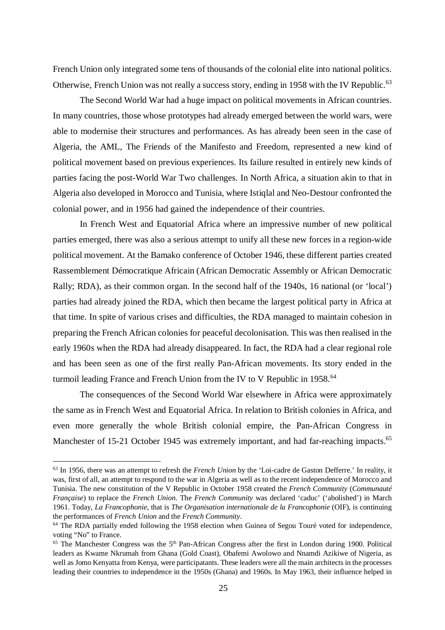French Union only integrated some tens of thousands of the colonial elite into national politics. Otherwise, French Union was not really a success story, ending in 1958 with the IV Republic.<sup>63</sup>

The Second World War had a huge impact on political movements in African countries. In many countries, those whose prototypes had already emerged between the world wars, were able to modernise their structures and performances. As has already been seen in the case of Algeria, the AML, The Friends of the Manifesto and Freedom, represented a new kind of political movement based on previous experiences. Its failure resulted in entirely new kinds of parties facing the post-World War Two challenges. In North Africa, a situation akin to that in Algeria also developed in Morocco and Tunisia, where Istiqlal and Neo-Destour confronted the colonial power, and in 1956 had gained the independence of their countries.

In French West and Equatorial Africa where an impressive number of new political parties emerged, there was also a serious attempt to unify all these new forces in a region-wide political movement. At the Bamako conference of October 1946, these different parties created Rassemblement Démocratique Africain (African Democratic Assembly or African Democratic Rally; RDA), as their common organ. In the second half of the 1940s, 16 national (or 'local') parties had already joined the RDA, which then became the largest political party in Africa at that time. In spite of various crises and difficulties, the RDA managed to maintain cohesion in preparing the French African colonies for peaceful decolonisation. This was then realised in the early 1960s when the RDA had already disappeared. In fact, the RDA had a clear regional role and has been seen as one of the first really Pan-African movements. Its story ended in the turmoil leading France and French Union from the IV to V Republic in 1958.<sup>64</sup>

The consequences of the Second World War elsewhere in Africa were approximately the same as in French West and Equatorial Africa. In relation to British colonies in Africa, and even more generally the whole British colonial empire, the Pan-African Congress in Manchester of 15-21 October 1945 was extremely important, and had far-reaching impacts.<sup>65</sup>

<sup>63</sup> In 1956, there was an attempt to refresh the *French Union* by the 'Loi-cadre de Gaston Defferre.' In reality, it was, first of all, an attempt to respond to the war in Algeria as well as to the recent independence of Morocco and Tunisia. The new constitution of the V Republic in October 1958 created the *French Community* (*Communauté Française*) to replace the *French Union*. The *French Community* was declared 'caduc' ('abolished') in March 1961. Today, *La Francophonie*, that is *The Organisation internationale de la Francophonie* (OIF), is continuing the performances of *French Union* and the *French Community*.

<sup>&</sup>lt;sup>64</sup> The RDA partially ended following the 1958 election when Guinea of Segou Touré voted for independence, voting "No" to France.

<sup>&</sup>lt;sup>65</sup> The Manchester Congress was the 5<sup>th</sup> Pan-African Congress after the first in London during 1900. Political leaders as Kwame Nkrumah from Ghana (Gold Coast), Obafemi Awolowo and Nnamdi Azikiwe of Nigeria, as well as Jomo Kenyatta from Kenya, were participatants. These leaders were all the main architects in the processes leading their countries to independence in the 1950s (Ghana) and 1960s. In May 1963, their influence helped in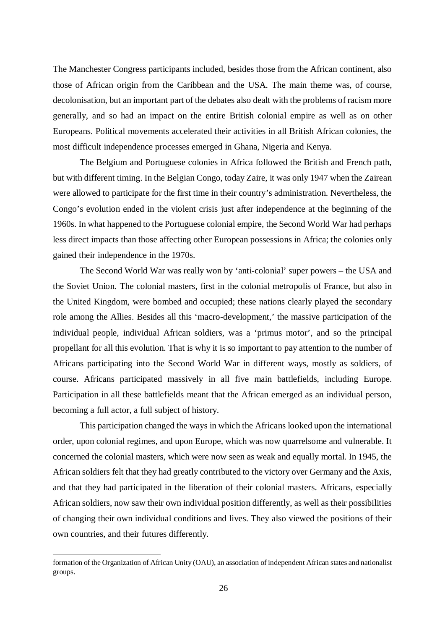The Manchester Congress participants included, besides those from the African continent, also those of African origin from the Caribbean and the USA. The main theme was, of course, decolonisation, but an important part of the debates also dealt with the problems of racism more generally, and so had an impact on the entire British colonial empire as well as on other Europeans. Political movements accelerated their activities in all British African colonies, the most difficult independence processes emerged in Ghana, Nigeria and Kenya.

The Belgium and Portuguese colonies in Africa followed the British and French path, but with different timing. In the Belgian Congo, today Zaire, it was only 1947 when the Zairean were allowed to participate for the first time in their country's administration. Nevertheless, the Congo's evolution ended in the violent crisis just after independence at the beginning of the 1960s. In what happened to the Portuguese colonial empire, the Second World War had perhaps less direct impacts than those affecting other European possessions in Africa; the colonies only gained their independence in the 1970s.

The Second World War was really won by 'anti-colonial' super powers – the USA and the Soviet Union. The colonial masters, first in the colonial metropolis of France, but also in the United Kingdom, were bombed and occupied; these nations clearly played the secondary role among the Allies. Besides all this 'macro-development,' the massive participation of the individual people, individual African soldiers, was a 'primus motor', and so the principal propellant for all this evolution. That is why it is so important to pay attention to the number of Africans participating into the Second World War in different ways, mostly as soldiers, of course. Africans participated massively in all five main battlefields, including Europe. Participation in all these battlefields meant that the African emerged as an individual person, becoming a full actor, a full subject of history.

This participation changed the ways in which the Africans looked upon the international order, upon colonial regimes, and upon Europe, which was now quarrelsome and vulnerable. It concerned the colonial masters, which were now seen as weak and equally mortal. In 1945, the African soldiers felt that they had greatly contributed to the victory over Germany and the Axis, and that they had participated in the liberation of their colonial masters. Africans, especially African soldiers, now saw their own individual position differently, as well as their possibilities of changing their own individual conditions and lives. They also viewed the positions of their own countries, and their futures differently.

formation of the Organization of African Unity (OAU), an association of independent African states and nationalist groups.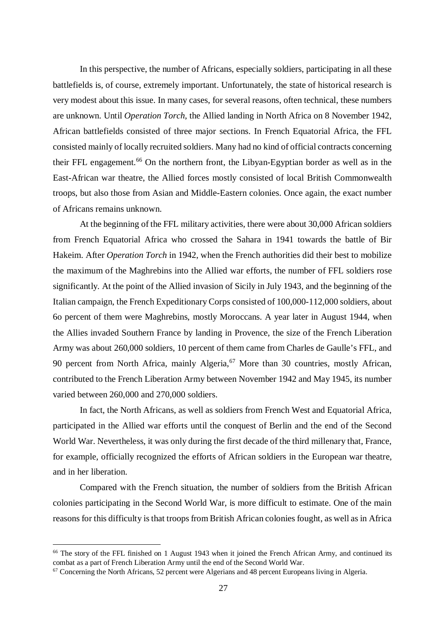In this perspective, the number of Africans, especially soldiers, participating in all these battlefields is, of course, extremely important. Unfortunately, the state of historical research is very modest about this issue. In many cases, for several reasons, often technical, these numbers are unknown. Until *Operation Torch*, the Allied landing in North Africa on 8 November 1942, African battlefields consisted of three major sections. In French Equatorial Africa, the FFL consisted mainly of locally recruited soldiers. Many had no kind of official contracts concerning their FFL engagement.<sup>66</sup> On the northern front, the Libyan-Egyptian border as well as in the East-African war theatre, the Allied forces mostly consisted of local British Commonwealth troops, but also those from Asian and Middle-Eastern colonies. Once again, the exact number of Africans remains unknown.

At the beginning of the FFL military activities, there were about 30,000 African soldiers from French Equatorial Africa who crossed the Sahara in 1941 towards the battle of Bir Hakeim. After *Operation Torch* in 1942, when the French authorities did their best to mobilize the maximum of the Maghrebins into the Allied war efforts, the number of FFL soldiers rose significantly. At the point of the Allied invasion of Sicily in July 1943, and the beginning of the Italian campaign, the French Expeditionary Corps consisted of 100,000-112,000 soldiers, about 6o percent of them were Maghrebins, mostly Moroccans. A year later in August 1944, when the Allies invaded Southern France by landing in Provence, the size of the French Liberation Army was about 260,000 soldiers, 10 percent of them came from Charles de Gaulle's FFL, and 90 percent from North Africa, mainly Algeria,<sup>67</sup> More than 30 countries, mostly African, contributed to the French Liberation Army between November 1942 and May 1945, its number varied between 260,000 and 270,000 soldiers.

In fact, the North Africans, as well as soldiers from French West and Equatorial Africa, participated in the Allied war efforts until the conquest of Berlin and the end of the Second World War. Nevertheless, it was only during the first decade of the third millenary that, France, for example, officially recognized the efforts of African soldiers in the European war theatre, and in her liberation.

Compared with the French situation, the number of soldiers from the British African colonies participating in the Second World War, is more difficult to estimate. One of the main reasons for this difficulty is that troops from British African colonies fought, as well as in Africa

<sup>&</sup>lt;sup>66</sup> The story of the FFL finished on 1 August 1943 when it joined the French African Army, and continued its combat as a part of French Liberation Army until the end of the Second World War.

 $67$  Concerning the North Africans, 52 percent were Algerians and 48 percent Europeans living in Algeria.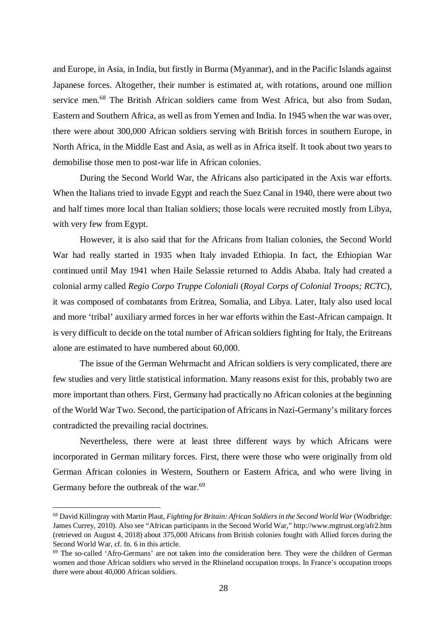and Europe, in Asia, in India, but firstly in Burma (Myanmar), and in the Pacific Islands against Japanese forces. Altogether, their number is estimated at, with rotations, around one million service men.<sup>68</sup> The British African soldiers came from West Africa, but also from Sudan, Eastern and Southern Africa, as well as from Yemen and India. In 1945 when the war was over, there were about 300,000 African soldiers serving with British forces in southern Europe, in North Africa, in the Middle East and Asia, as well as in Africa itself. It took about two years to demobilise those men to post-war life in African colonies.

During the Second World War, the Africans also participated in the Axis war efforts. When the Italians tried to invade Egypt and reach the Suez Canal in 1940, there were about two and half times more local than Italian soldiers; those locals were recruited mostly from Libya, with very few from Egypt.

However, it is also said that for the Africans from Italian colonies, the Second World War had really started in 1935 when Italy invaded Ethiopia. In fact, the Ethiopian War continued until May 1941 when Haile Selassie returned to Addis Ababa. Italy had created a colonial army called *Regio Corpo Truppe Coloniali* (*Royal Corps of Colonial Troops; RCTC*), it was composed of combatants from Eritrea, Somalia, and Libya. Later, Italy also used local and more 'tribal' auxiliary armed forces in her war efforts within the East-African campaign. It is very difficult to decide on the total number of African soldiers fighting for Italy, the Eritreans alone are estimated to have numbered about 60,000.

The issue of the German Wehrmacht and African soldiers is very complicated, there are few studies and very little statistical information. Many reasons exist for this, probably two are more important than others. First, Germany had practically no African colonies at the beginning of the World War Two. Second, the participation of Africans in Nazi-Germany's military forces contradicted the prevailing racial doctrines.

Nevertheless, there were at least three different ways by which Africans were incorporated in German military forces. First, there were those who were originally from old German African colonies in Western, Southern or Eastern Africa, and who were living in Germany before the outbreak of the war.<sup>69</sup>

<sup>68</sup> David Killingray with Martin Plaut, *Fighting for Britain: African Soldiers in the Second World War* (Wodbridge: James Currey, 2010). Also see "African participants in the Second World War," http://www.mgtrust.org/afr2.htm (retrieved on August 4, 2018) about 375,000 Africans from British colonies fought with Allied forces during the Second World War, cf. fn. 6 in this article.

<sup>69</sup> The so-called 'Afro-Germans' are not taken into the consideration here. They were the children of German women and those African soldiers who served in the Rhineland occupation troops. In France's occupation troops there were about 40,000 African soldiers.